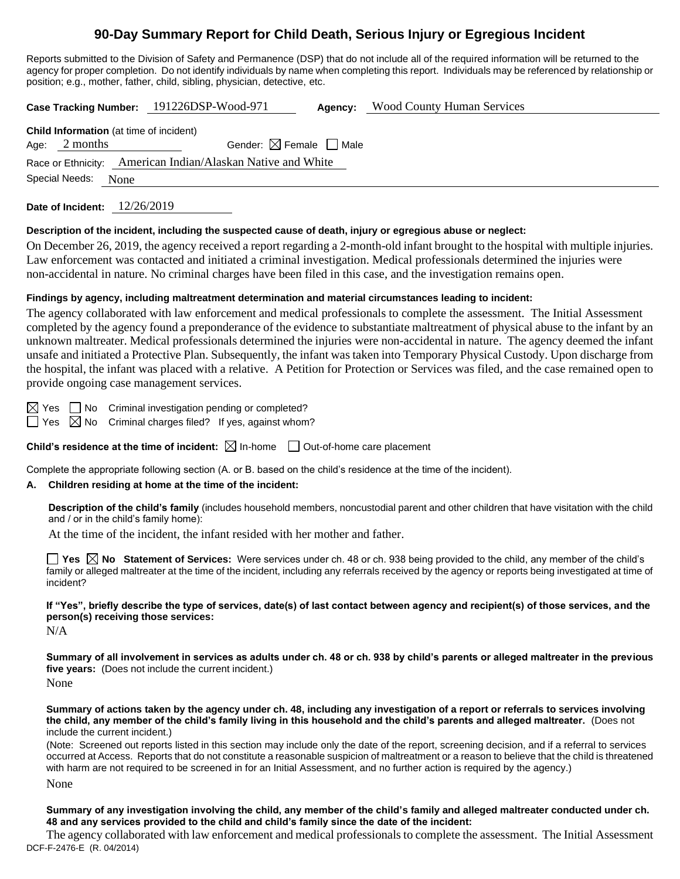# **90-Day Summary Report for Child Death, Serious Injury or Egregious Incident**

Reports submitted to the Division of Safety and Permanence (DSP) that do not include all of the required information will be returned to the agency for proper completion. Do not identify individuals by name when completing this report. Individuals may be referenced by relationship or position; e.g., mother, father, child, sibling, physician, detective, etc.

**Case Tracking Number:** 191226DSP-Wood-971 **Agency:** Wood County Human Services

**Child Information** (at time of incident) Age:  $2$  months Gender:  $\boxtimes$  Female  $\Box$  Male Race or Ethnicity: American Indian/Alaskan Native and White Special Needs: None

**Date of Incident:** 12/26/2019

#### **Description of the incident, including the suspected cause of death, injury or egregious abuse or neglect:**

On December 26, 2019, the agency received a report regarding a 2-month-old infant brought to the hospital with multiple injuries. Law enforcement was contacted and initiated a criminal investigation. Medical professionals determined the injuries were non-accidental in nature. No criminal charges have been filed in this case, and the investigation remains open.

## **Findings by agency, including maltreatment determination and material circumstances leading to incident:**

The agency collaborated with law enforcement and medical professionals to complete the assessment. The Initial Assessment completed by the agency found a preponderance of the evidence to substantiate maltreatment of physical abuse to the infant by an unknown maltreater. Medical professionals determined the injuries were non-accidental in nature. The agency deemed the infant unsafe and initiated a Protective Plan. Subsequently, the infant was taken into Temporary Physical Custody. Upon discharge from the hospital, the infant was placed with a relative. A Petition for Protection or Services was filed, and the case remained open to provide ongoing case management services.

 $\boxtimes$  Yes  $\Box$  No Criminal investigation pending or completed?

 $\Box$  Yes  $\boxtimes$  No Criminal charges filed? If yes, against whom?

**Child's residence at the time of incident:**  $\boxtimes$  In-home  $\Box$  Out-of-home care placement

Complete the appropriate following section (A. or B. based on the child's residence at the time of the incident).

## **A. Children residing at home at the time of the incident:**

**Description of the child's family** (includes household members, noncustodial parent and other children that have visitation with the child and / or in the child's family home):

At the time of the incident, the infant resided with her mother and father.

**Yes No Statement of Services:** Were services under ch. 48 or ch. 938 being provided to the child, any member of the child's family or alleged maltreater at the time of the incident, including any referrals received by the agency or reports being investigated at time of incident?

**If "Yes", briefly describe the type of services, date(s) of last contact between agency and recipient(s) of those services, and the person(s) receiving those services:**

N/A

**Summary of all involvement in services as adults under ch. 48 or ch. 938 by child's parents or alleged maltreater in the previous five years:** (Does not include the current incident.) None

**Summary of actions taken by the agency under ch. 48, including any investigation of a report or referrals to services involving the child, any member of the child's family living in this household and the child's parents and alleged maltreater.** (Does not include the current incident.)

(Note: Screened out reports listed in this section may include only the date of the report, screening decision, and if a referral to services occurred at Access. Reports that do not constitute a reasonable suspicion of maltreatment or a reason to believe that the child is threatened with harm are not required to be screened in for an Initial Assessment, and no further action is required by the agency.)

None

**Summary of any investigation involving the child, any member of the child's family and alleged maltreater conducted under ch. 48 and any services provided to the child and child's family since the date of the incident:**

DCF-F-2476-E (R. 04/2014) The agency collaborated with law enforcement and medical professionals to complete the assessment. The Initial Assessment